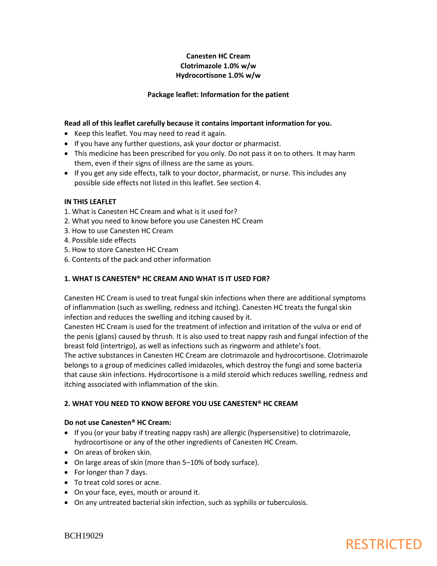## **Canesten HC Cream Clotrimazole 1.0% w/w Hydrocortisone 1.0% w/w**

## **Package leaflet: Information for the patient**

## **Read all of this leaflet carefully because it contains important information for you.**

- Keep this leaflet. You may need to read it again.
- If you have any further questions, ask your doctor or pharmacist.
- This medicine has been prescribed for you only. Do not pass it on to others. It may harm them, even if their signs of illness are the same as yours.
- If you get any side effects, talk to your doctor, pharmacist, or nurse. This includes any possible side effects not listed in this leaflet. See section 4.

### **IN THIS LEAFLET**

- 1. What is Canesten HC Cream and what is it used for?
- 2. What you need to know before you use Canesten HC Cream
- 3. How to use Canesten HC Cream
- 4. Possible side effects
- 5. How to store Canesten HC Cream
- 6. Contents of the pack and other information

### **1. WHAT IS CANESTEN® HC CREAM AND WHAT IS IT USED FOR?**

Canesten HC Cream is used to treat fungal skin infections when there are additional symptoms of inflammation (such as swelling, redness and itching). Canesten HC treats the fungal skin infection and reduces the swelling and itching caused by it.

Canesten HC Cream is used for the treatment of infection and irritation of the vulva or end of the penis (glans) caused by thrush. It is also used to treat nappy rash and fungal infection of the breast fold (intertrigo), as well as infections such as ringworm and athlete's foot.

The active substances in Canesten HC Cream are clotrimazole and hydrocortisone. Clotrimazole belongs to a group of medicines called imidazoles, which destroy the fungi and some bacteria that cause skin infections. Hydrocortisone is a mild steroid which reduces swelling, redness and itching associated with inflammation of the skin.

#### **2. WHAT YOU NEED TO KNOW BEFORE YOU USE CANESTEN® HC CREAM**

#### **Do not use Canesten® HC Cream:**

- If you (or your baby if treating nappy rash) are allergic (hypersensitive) to clotrimazole, hydrocortisone or any of the other ingredients of Canesten HC Cream.
- On areas of broken skin.
- On large areas of skin (more than 5–10% of body surface).
- For longer than 7 days.
- To treat cold sores or acne.
- On your face, eyes, mouth or around it.
- On any untreated bacterial skin infection, such as syphilis or tuberculosis.

BCH19029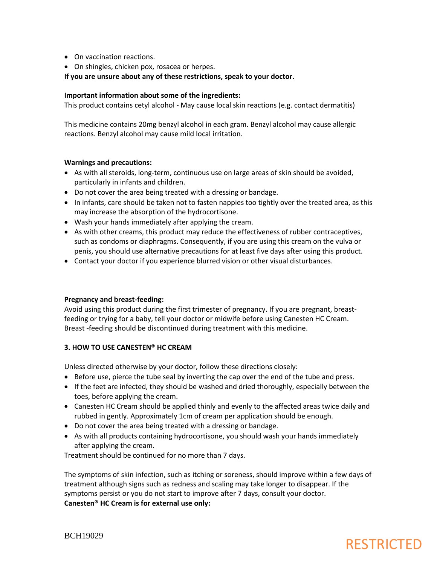- On vaccination reactions.
- On shingles, chicken pox, rosacea or herpes.

**If you are unsure about any of these restrictions, speak to your doctor.**

#### **Important information about some of the ingredients:**

This product contains cetyl alcohol - May cause local skin reactions (e.g. contact dermatitis)

This medicine contains 20mg benzyl alcohol in each gram. Benzyl alcohol may cause allergic reactions. Benzyl alcohol may cause mild local irritation.

#### **Warnings and precautions:**

- As with all steroids, long-term, continuous use on large areas of skin should be avoided, particularly in infants and children.
- Do not cover the area being treated with a dressing or bandage.
- In infants, care should be taken not to fasten nappies too tightly over the treated area, as this may increase the absorption of the hydrocortisone.
- Wash your hands immediately after applying the cream.
- As with other creams, this product may reduce the effectiveness of rubber contraceptives, such as condoms or diaphragms. Consequently, if you are using this cream on the vulva or penis, you should use alternative precautions for at least five days after using this product.
- Contact your doctor if you experience blurred vision or other visual disturbances.

#### **Pregnancy and breast-feeding:**

Avoid using this product during the first trimester of pregnancy. If you are pregnant, breastfeeding or trying for a baby, tell your doctor or midwife before using Canesten HC Cream. Breast -feeding should be discontinued during treatment with this medicine.

#### **3. HOW TO USE CANESTEN® HC CREAM**

Unless directed otherwise by your doctor, follow these directions closely:

- Before use, pierce the tube seal by inverting the cap over the end of the tube and press.
- If the feet are infected, they should be washed and dried thoroughly, especially between the toes, before applying the cream.
- Canesten HC Cream should be applied thinly and evenly to the affected areas twice daily and rubbed in gently. Approximately 1cm of cream per application should be enough.
- Do not cover the area being treated with a dressing or bandage.
- As with all products containing hydrocortisone, you should wash your hands immediately after applying the cream.

Treatment should be continued for no more than 7 days.

The symptoms of skin infection, such as itching or soreness, should improve within a few days of treatment although signs such as redness and scaling may take longer to disappear. If the symptoms persist or you do not start to improve after 7 days, consult your doctor. **Canesten® HC Cream is for external use only:**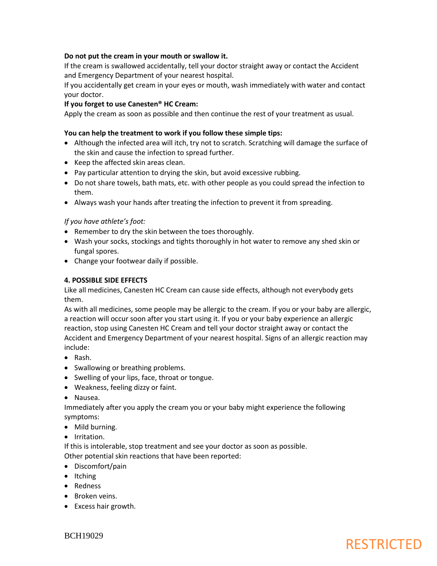## **Do not put the cream in your mouth or swallow it.**

If the cream is swallowed accidentally, tell your doctor straight away or contact the Accident and Emergency Department of your nearest hospital.

If you accidentally get cream in your eyes or mouth, wash immediately with water and contact your doctor.

#### **If you forget to use Canesten® HC Cream:**

Apply the cream as soon as possible and then continue the rest of your treatment as usual.

#### **You can help the treatment to work if you follow these simple tips:**

- Although the infected area will itch, try not to scratch. Scratching will damage the surface of the skin and cause the infection to spread further.
- Keep the affected skin areas clean.
- Pay particular attention to drying the skin, but avoid excessive rubbing.
- Do not share towels, bath mats, etc. with other people as you could spread the infection to them.
- Always wash your hands after treating the infection to prevent it from spreading.

## *If you have athlete's foot:*

- Remember to dry the skin between the toes thoroughly.
- Wash your socks, stockings and tights thoroughly in hot water to remove any shed skin or fungal spores.
- Change your footwear daily if possible.

### **4. POSSIBLE SIDE EFFECTS**

Like all medicines, Canesten HC Cream can cause side effects, although not everybody gets them.

As with all medicines, some people may be allergic to the cream. If you or your baby are allergic, a reaction will occur soon after you start using it. If you or your baby experience an allergic reaction, stop using Canesten HC Cream and tell your doctor straight away or contact the Accident and Emergency Department of your nearest hospital. Signs of an allergic reaction may include:

- Rash.
- Swallowing or breathing problems.
- Swelling of your lips, face, throat or tongue.
- Weakness, feeling dizzy or faint.

Nausea.

Immediately after you apply the cream you or your baby might experience the following symptoms:

- Mild burning.
- Irritation.

If this is intolerable, stop treatment and see your doctor as soon as possible. Other potential skin reactions that have been reported:

- Discomfort/pain
- Itching
- Redness
- Broken veins.
- Excess hair growth.

BCH19029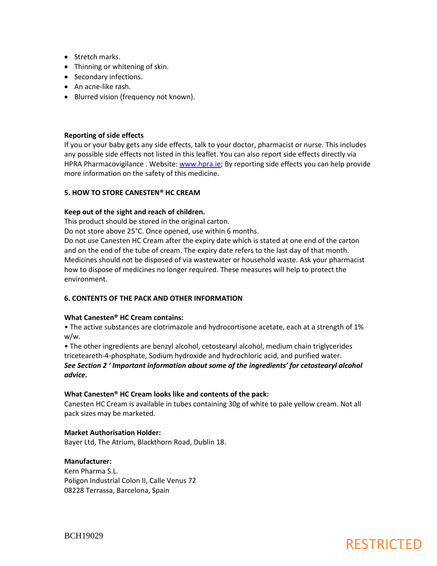- Stretch marks.
- Thinning or whitening of skin.
- Secondary infections.
- An acne-like rash.
- Blurred vision (frequency not known).

## **Reporting of side effects**

If you or your baby gets any side effects, talk to your doctor, pharmacist or nurse. This includes any possible side effects not listed in this leaflet. You can also report side effects directly via HPRA Pharmacovigilance . Website: [www.hpra.ie;](http://www.hpra.ie/) By reporting side effects you can help provide more information on the safety of this medicine.

### **5. HOW TO STORE CANESTEN® HC CREAM**

### **Keep out of the sight and reach of children.**

This product should be stored in the original carton.

Do not store above 25°C. Once opened, use within 6 months.

Do not use Canesten HC Cream after the expiry date which is stated at one end of the carton and on the end of the tube of cream. The expiry date refers to the last day of that month. Medicines should not be disposed of via wastewater or household waste. Ask your pharmacist how to dispose of medicines no longer required. These measures will help to protect the environment.

## **6. CONTENTS OF THE PACK AND OTHER INFORMATION**

## **What Canesten® HC Cream contains:**

• The active substances are clotrimazole and hydrocortisone acetate, each at a strength of 1% w/w.

• The other ingredients are benzyl alcohol, cetostearyl alcohol, medium chain triglycerides triceteareth-4-phosphate, Sodium hydroxide and hydrochloric acid, and purified water. *See Section 2 ' Important information about some of the ingredients' for cetostearyl alcohol advice.*

## **What Canesten® HC Cream looks like and contents of the pack:**

Canesten HC Cream is available in tubes containing 30g of white to pale yellow cream. Not all pack sizes may be marketed.

#### **Market Authorisation Holder:**

Bayer Ltd, The Atrium, Blackthorn Road, Dublin 18.

## **Manufacturer:**

Kern Pharma S.L. Poligon Industrial Colon II, Calle Venus 72 08228 Terrassa, Barcelona, Spain

BCH19029